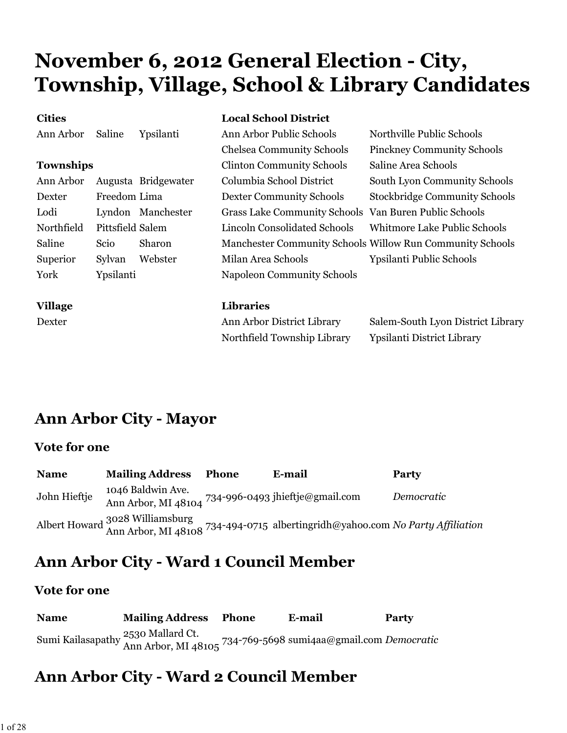# **November 6, 2012 General Election - City, Township, Village, School & Library Candidates**

| <b>Cities</b>    |                  |                     | <b>Local School District</b>                          |                                                           |
|------------------|------------------|---------------------|-------------------------------------------------------|-----------------------------------------------------------|
| Ann Arbor        | Saline           | Ypsilanti           | Ann Arbor Public Schools                              | Northville Public Schools                                 |
|                  |                  |                     | <b>Chelsea Community Schools</b>                      | <b>Pinckney Community Schools</b>                         |
| <b>Townships</b> |                  |                     | <b>Clinton Community Schools</b>                      | Saline Area Schools                                       |
| Ann Arbor        |                  | Augusta Bridgewater | Columbia School District                              | South Lyon Community Schools                              |
| Dexter           | Freedom Lima     |                     | <b>Dexter Community Schools</b>                       | <b>Stockbridge Community Schools</b>                      |
| Lodi             |                  | Lyndon Manchester   | Grass Lake Community Schools Van Buren Public Schools |                                                           |
| Northfield       | Pittsfield Salem |                     | Lincoln Consolidated Schools                          | Whitmore Lake Public Schools                              |
| Saline           | Scio             | Sharon              |                                                       | Manchester Community Schools Willow Run Community Schools |
| Superior         | Sylvan           | Webster             | Milan Area Schools                                    | Ypsilanti Public Schools                                  |
| York             | Ypsilanti        |                     | Napoleon Community Schools                            |                                                           |
| <b>Village</b>   |                  |                     | <b>Libraries</b>                                      |                                                           |
| Dexter           |                  |                     | Ann Arbor District Library                            | Salem-South Lyon District Library                         |
|                  |                  |                     | Northfield Township Library                           | Ypsilanti District Library                                |

## **Ann Arbor City - Mayor**

#### **Vote for one**

| <b>Name</b>  | <b>Mailing Address</b> | <b>Phone</b> | E-mail                                                                                                           | <b>Party</b> |
|--------------|------------------------|--------------|------------------------------------------------------------------------------------------------------------------|--------------|
| John Hieftje | 1046 Baldwin Ave.      |              | Ann Arbor, MI 48104 734-996-0493 jhieftje@gmail.com                                                              | Democratic   |
|              |                        |              | Albert Howard 3028 Williamsburg<br>Ann Arbor, MI 48108 734-494-0715 albertingridh@yahoo.com No Party Affiliation |              |

## **Ann Arbor City - Ward 1 Council Member**

#### **Vote for one**

| <b>Name</b> | <b>Mailing Address Phone</b>                                                                        | E-mail | Party |
|-------------|-----------------------------------------------------------------------------------------------------|--------|-------|
|             | Sumi Kailasapathy 2530 Mallard Ct.<br>Ann Arbor, MI 48105 734-769-5698 sumi4aa@gmail.com Democratic |        |       |

# **Ann Arbor City - Ward 2 Council Member**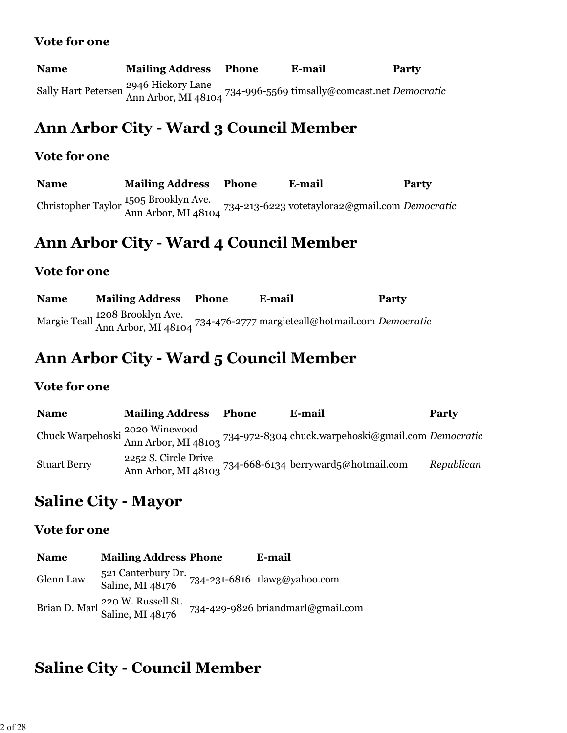| <b>Name</b> | <b>Mailing Address</b> | Phone | E-mail                                                                               | <b>Party</b> |
|-------------|------------------------|-------|--------------------------------------------------------------------------------------|--------------|
|             | 2946 Hickory Lane      |       | Sally Hart Petersen Ann Arbor, MI 48104 734-996-5569 timsally@comcast.net Democratic |              |

# **Ann Arbor City - Ward 3 Council Member**

#### **Vote for one**

**Name Mailing Address Phone E-mail Party** Christopher Taylor 1505 Brooklyn Ave. Ann Arbor, MI 48104 734-213-6223 votetaylora2@gmail.com *Democratic*

### **Ann Arbor City - Ward 4 Council Member**

#### **Vote for one**

**Name Mailing Address Phone E-mail Party** Margie Teall 1208 Brooklyn Ave. Ann Arbor, MI 48104 734-476-2777 margieteall@hotmail.com *Democratic*

### **Ann Arbor City - Ward 5 Council Member**

#### **Vote for one**

| <b>Name</b>         | <b>Mailing Address</b> | Phone | E-mail                                                                                                   | <b>Party</b> |
|---------------------|------------------------|-------|----------------------------------------------------------------------------------------------------------|--------------|
|                     |                        |       | Chuck Warpehoski 2020 Winewood<br>Ann Arbor, MI 48103 734-972-8304 chuck.warpehoski@gmail.com Democratic |              |
| <b>Stuart Berry</b> | 2252 S. Circle Drive   |       | 0-21 march 2011<br>Ann Arbor, MI 48103 734-668-6134 berryward5@hotmail.com                               | Republican   |

### **Saline City - Mayor**

#### **Vote for one**

| <b>Name</b> | <b>Mailing Address Phone</b>                                    | E-mail                                          |
|-------------|-----------------------------------------------------------------|-------------------------------------------------|
| Glenn Law   | Saline, MI 48176                                                | 521 Canterbury Dr. 734-231-6816 1lawg@yahoo.com |
|             | Brian D. Marl <sup>220</sup> W. Russell St.<br>Saline, MI 48176 | 734-429-9826 briandmarl@gmail.com               |

# **Saline City - Council Member**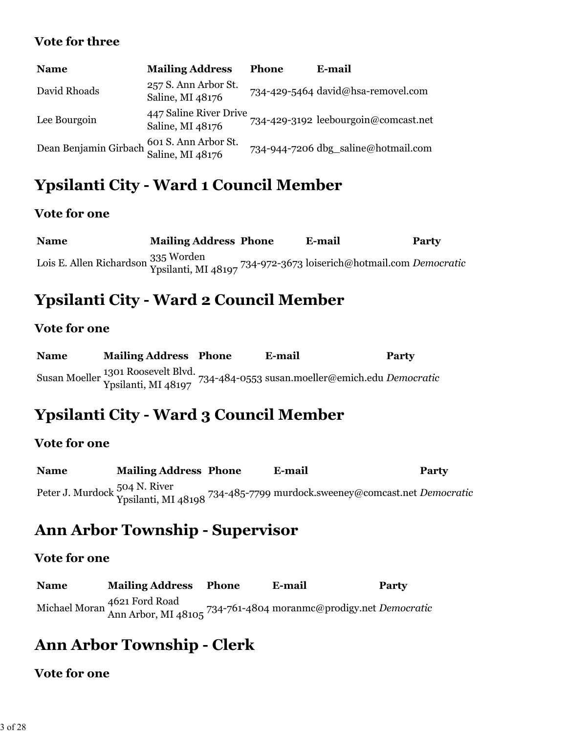#### **Vote for three**

| <b>Name</b>                                                    | <b>Mailing Address</b>                     | <b>Phone</b> | E-mail                               |
|----------------------------------------------------------------|--------------------------------------------|--------------|--------------------------------------|
| David Rhoads                                                   | 257 S. Ann Arbor St.<br>Saline, MI 48176   |              | 734-429-5464 david@hsa-removel.com   |
| Lee Bourgoin                                                   | 447 Saline River Drive<br>Saline, MI 48176 |              | 734-429-3192 leebourgoin@comcast.net |
| Dean Benjamin Girbach 601 S. Ann Arbor St.<br>Saline, MI 48176 |                                            |              | 734-944-7206 dbg_saline@hotmail.com  |

# **Ypsilanti City - Ward 1 Council Member**

### **Vote for one**

**Name Mailing Address Phone E-mail Party** Lois E. Allen Richardson 335 Worden Ypsilanti, MI 48197 734-972-3673 loiserich@hotmail.com *Democratic*

# **Ypsilanti City - Ward 2 Council Member**

### **Vote for one**

| <b>Name</b> | <b>Mailing Address Phone</b> | E-mail                                                                                                    | <b>Party</b> |
|-------------|------------------------------|-----------------------------------------------------------------------------------------------------------|--------------|
|             |                              | Susan Moeller 1301 Roosevelt Blvd.<br>Ypsilanti, MI 48197 734-484-0553 susan.moeller@emich.edu Democratic |              |

# **Ypsilanti City - Ward 3 Council Member**

### **Vote for one**

**Name Mailing Address Phone E-mail Party** Peter J. Murdock 504 N. River Ypsilanti, MI 48198 734-485-7799 murdock.sweeney@comcast.net *Democratic*

# **Ann Arbor Township - Supervisor**

### **Vote for one**

**Name Mailing Address Phone E-mail Party** Michael Moran 4621 Ford Road Ann Arbor, MI 48105 734-761-4804 moranmc@prodigy.net *Democratic*

# **Ann Arbor Township - Clerk**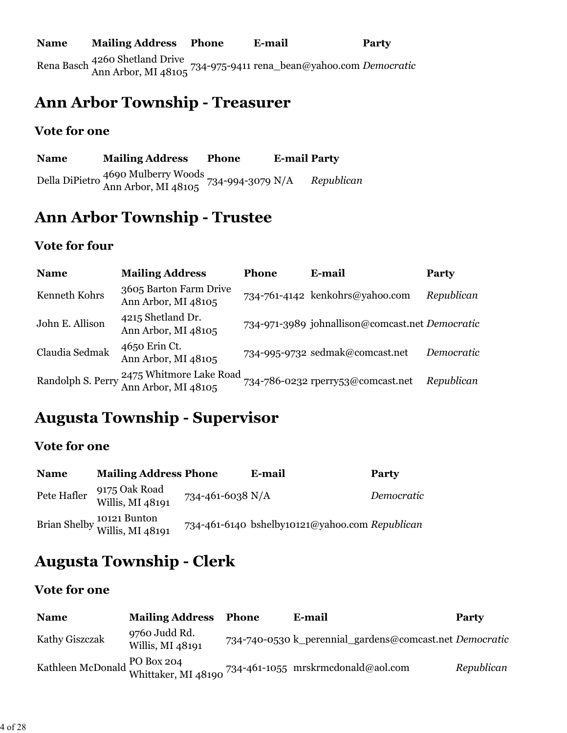### **Ann Arbor Township - Treasurer**

#### **Vote for one**

| <b>Name</b> | <b>Mailing Address</b>                                                     | <b>Phone</b> | <b>E-mail Party</b> |            |
|-------------|----------------------------------------------------------------------------|--------------|---------------------|------------|
|             | Della DiPietro 4690 Mulberry Woods<br>Ann Arbor, MI 48105 734-994-3079 N/A |              |                     | Republican |

# **Ann Arbor Township - Trustee**

#### **Vote for four**

| <b>Name</b>       | <b>Mailing Address</b>                         | <b>Phone</b> | E-mail                                          | Party      |
|-------------------|------------------------------------------------|--------------|-------------------------------------------------|------------|
| Kenneth Kohrs     | 3605 Barton Farm Drive<br>Ann Arbor, MI 48105  |              | 734-761-4142 kenkohrs@yahoo.com                 | Republican |
| John E. Allison   | 4215 Shetland Dr.<br>Ann Arbor, MI 48105       |              | 734-971-3989 johnallison@comcast.net Democratic |            |
| Claudia Sedmak    | 4650 Erin Ct.<br>Ann Arbor, MI 48105           |              | 734-995-9732 sedmak@comcast.net                 | Democratic |
| Randolph S. Perry | 2475 Whitmore Lake Road<br>Ann Arbor, MI 48105 |              | 734-786-0232 rperry53@comcast.net               | Republican |

## **Augusta Township - Supervisor**

### **Vote for one**

| <b>Name</b> | <b>Mailing Address Phone</b>                  |                  | E-mail                                         | <b>Party</b> |
|-------------|-----------------------------------------------|------------------|------------------------------------------------|--------------|
| Pete Hafler | 9175 Oak Road<br>Willis, MI 48191             | 734-461-6038 N/A |                                                | Democratic   |
|             | Brian Shelby 10121 Bunton<br>Willis, MI 48191 |                  | 734-461-6140 bshelby10121@yahoo.com Republican |              |

# **Augusta Township - Clerk**

| <b>Name</b>    | <b>Mailing Address Phone</b>      | E-mail                                                                                 | Party      |
|----------------|-----------------------------------|----------------------------------------------------------------------------------------|------------|
| Kathy Giszczak | 9760 Judd Rd.<br>Willis, MI 48191 | 734-740-0530 k_perennial_gardens@comcast.net Democratic                                |            |
|                |                                   | Kathleen McDonald PO Box 204<br>Whittaker. MI 48190 734-461-1055 mrskrmcdonald@aol.com | Republican |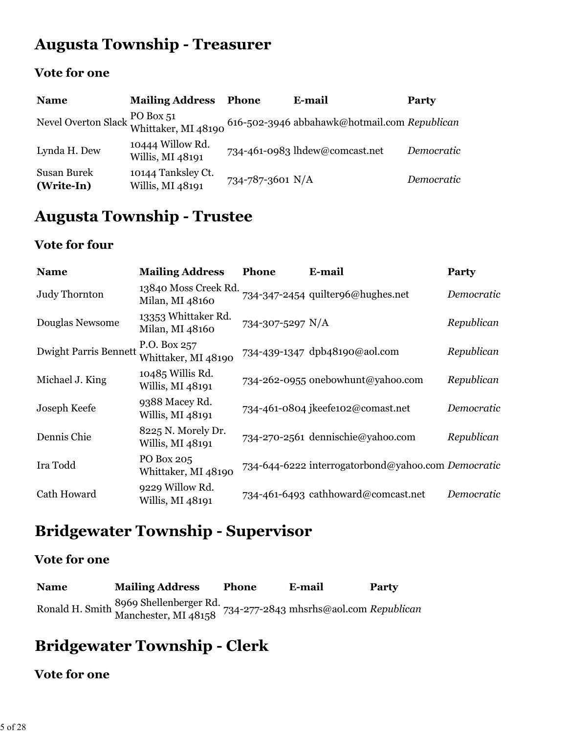# **Augusta Township - Treasurer**

### **Vote for one**

| <b>Name</b>               | <b>Mailing Address</b>                 | <b>Phone</b>     | E-mail                                                                                                                 | Party      |
|---------------------------|----------------------------------------|------------------|------------------------------------------------------------------------------------------------------------------------|------------|
|                           |                                        |                  | Nevel Overton Slack $\frac{\text{PO Box }51}{\text{Whittaker, MI }48190}$ 616-502-3946 abbahawk@hotmail.com Republican |            |
| Lynda H. Dew              | 10444 Willow Rd.<br>Willis, MI 48191   |                  | 734-461-0983 lhdew@comcast.net                                                                                         | Democratic |
| Susan Burek<br>(Write-In) | 10144 Tanksley Ct.<br>Willis, MI 48191 | 734-787-3601 N/A |                                                                                                                        | Democratic |

# **Augusta Township - Trustee**

### **Vote for four**

| <b>Name</b>                  | <b>Mailing Address</b>                  | Phone            | E-mail                                             | <b>Party</b> |
|------------------------------|-----------------------------------------|------------------|----------------------------------------------------|--------------|
| Judy Thornton                | 13840 Moss Creek Rd.<br>Milan, MI 48160 |                  | 734-347-2454 quilter96@hughes.net                  | Democratic   |
| Douglas Newsome              | 13353 Whittaker Rd.<br>Milan, MI 48160  | 734-307-5297 N/A |                                                    | Republican   |
| <b>Dwight Parris Bennett</b> | P.O. Box 257<br>Whittaker, MI 48190     |                  | 734-439-1347 dpb48190@aol.com                      | Republican   |
| Michael J. King              | 10485 Willis Rd.<br>Willis, MI 48191    |                  | 734-262-0955 onebowhunt@yahoo.com                  | Republican   |
| Joseph Keefe                 | 9388 Macey Rd.<br>Willis, MI 48191      |                  | 734-461-0804 jkeefe102@comast.net                  | Democratic   |
| Dennis Chie                  | 8225 N. Morely Dr.<br>Willis, MI 48191  |                  | 734-270-2561 dennischie@yahoo.com                  | Republican   |
| Ira Todd                     | PO Box 205<br>Whittaker, MI 48190       |                  | 734-644-6222 interrogatorbond@yahoo.com Democratic |              |
| Cath Howard                  | 9229 Willow Rd.<br>Willis, MI 48191     |                  | 734-461-6493 cathhoward@comcast.net                | Democratic   |

# **Bridgewater Township - Supervisor**

### **Vote for one**

| <b>Name</b> | <b>Mailing Address</b>                                                                                | <b>Phone</b> | E-mail | <b>Party</b> |
|-------------|-------------------------------------------------------------------------------------------------------|--------------|--------|--------------|
|             | Ronald H. Smith 8969 Shellenberger Rd.<br>Manchester, MI 48158 734-277-2843 mhsrhs@aol.com Republican |              |        |              |

# **Bridgewater Township - Clerk**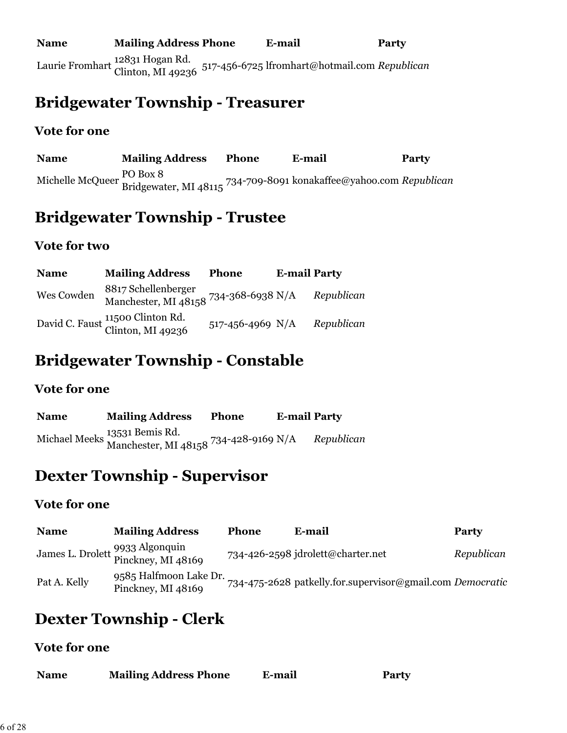### **Bridgewater Township - Treasurer**

### **Vote for one**

**Name Mailing Address Phone E-mail Party** Michelle McQueer PO Box 8 Bridgewater, MI 48115 734-709-8091 konakaffee@yahoo.com *Republican*

## **Bridgewater Township - Trustee**

### **Vote for two**

| <b>Name</b> | <b>Mailing Address</b>                                       | Phone            | <b>E-mail Party</b> |            |
|-------------|--------------------------------------------------------------|------------------|---------------------|------------|
| Wes Cowden  | 8817 Schellenberger<br>Manchester, MI 48158 734-368-6938 N/A |                  |                     | Republican |
|             | David C. Faust 11500 Clinton Rd.<br>Clinton, MI 49236        | 517-456-4969 N/A |                     | Republican |

## **Bridgewater Township - Constable**

### **Vote for one**

| <b>Name</b> | <b>Mailing Address</b>                                                 | <b>Phone</b> | <b>E-mail Party</b> |            |
|-------------|------------------------------------------------------------------------|--------------|---------------------|------------|
|             | Michael Meeks 13531 Bemis Rd.<br>Manchester, MI 48158 734-428-9169 N/A |              |                     | Republican |

## **Dexter Township - Supervisor**

#### **Vote for one**

| <b>Name</b>  | <b>Mailing Address</b>                                | Phone | E-mail                                                    | <b>Party</b> |
|--------------|-------------------------------------------------------|-------|-----------------------------------------------------------|--------------|
|              | James L. Drolett 9933 Algonquin<br>Pinckney, MI 48169 |       | 734-426-2598 jdrolett@charter.net                         | Republican   |
| Pat A. Kelly | 9585 Halfmoon Lake Dr.<br>Pinckney, MI 48169          |       | 734-475-2628 patkelly.for.supervisor@gmail.com Democratic |              |

## **Dexter Township - Clerk**

| <b>Name</b> | <b>Mailing Address Phone</b> | E-mail | <b>Party</b> |
|-------------|------------------------------|--------|--------------|
|             |                              |        |              |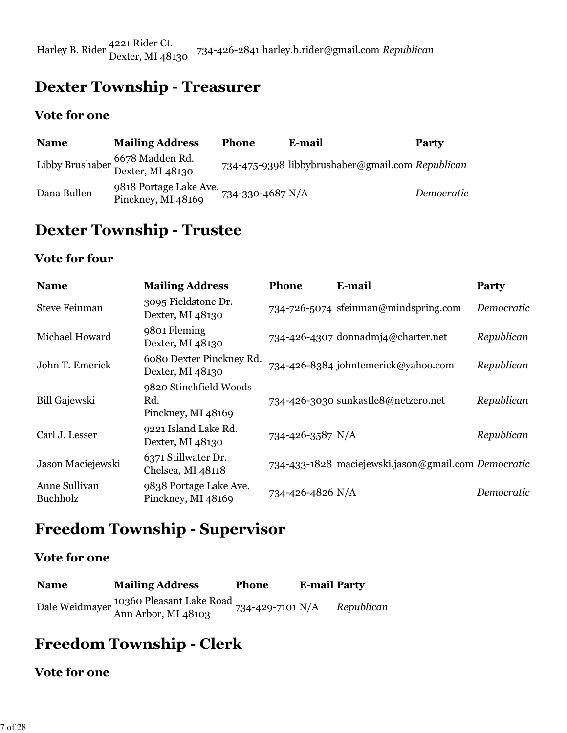Harley B. Rider 4221 Rider Ct. Dexter, MI 48130 734-426-2841 harley.b.rider@gmail.com *Republican*

# **Dexter Township - Treasurer**

#### **Vote for one**

| <b>Name</b> | <b>Mailing Address</b>                              | <b>Phone</b>           | E-mail                                           | <b>Party</b> |
|-------------|-----------------------------------------------------|------------------------|--------------------------------------------------|--------------|
|             | Libby Brushaber 6678 Madden Rd.<br>Dexter, MI 48130 |                        | 734-475-9398 libbybrushaber@gmail.com Republican |              |
| Dana Bullen | 9818 Portage Lake Ave.<br>Pinckney, MI 48169        | $734 - 330 - 4687$ N/A |                                                  | Democratic   |

### **Dexter Township - Trustee**

### **Vote for four**

| <b>Name</b>               | <b>Mailing Address</b>                              | <b>Phone</b>     | E-mail                                              | Party      |
|---------------------------|-----------------------------------------------------|------------------|-----------------------------------------------------|------------|
| <b>Steve Feinman</b>      | 3095 Fieldstone Dr.<br>Dexter, MI 48130             |                  | 734-726-5074 sfeinman@mindspring.com                | Democratic |
| Michael Howard            | 9801 Fleming<br>Dexter, MI 48130                    |                  | 734-426-4307 donnadmj4@charter.net                  | Republican |
| John T. Emerick           | 6080 Dexter Pinckney Rd.<br>Dexter, MI 48130        |                  | 734-426-8384 johntemerick@yahoo.com                 | Republican |
| <b>Bill Gajewski</b>      | 9820 Stinchfield Woods<br>Rd.<br>Pinckney, MI 48169 |                  | 734-426-3030 sunkastle8@netzero.net                 | Republican |
| Carl J. Lesser            | 9221 Island Lake Rd.<br>Dexter, MI 48130            | 734-426-3587 N/A |                                                     | Republican |
| Jason Maciejewski         | 6371 Stillwater Dr.<br>Chelsea, MI 48118            |                  | 734-433-1828 maciejewski.jason@gmail.com Democratic |            |
| Anne Sullivan<br>Buchholz | 9838 Portage Lake Ave.<br>Pinckney, MI 48169        | 734-426-4826 N/A |                                                     | Democratic |

### **Freedom Township - Supervisor**

### **Vote for one**

| <b>Name</b> | <b>Mailing Address</b>                                         | <b>Phone</b>     | <b>E-mail Party</b> |            |
|-------------|----------------------------------------------------------------|------------------|---------------------|------------|
|             | 10360 Pleasant Lake Road<br>Dale Weidmayer Ann Arbor, MI 48103 | 734-429-7101 N/A |                     | Republican |

# **Freedom Township - Clerk**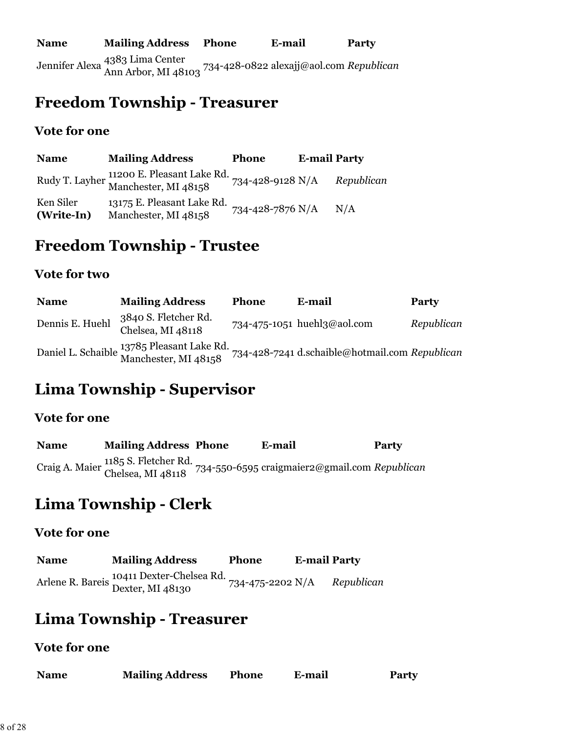### **Freedom Township - Treasurer**

#### **Vote for one**

| <b>Name</b>             | <b>Mailing Address</b>                                            | <b>Phone</b>     | <b>E-mail Party</b> |            |
|-------------------------|-------------------------------------------------------------------|------------------|---------------------|------------|
|                         | Rudy T. Layher 11200 E. Pleasant Lake Rd.<br>Manchester, MI 48158 | 734-428-9128 N/A |                     | Republican |
| Ken Siler<br>(Write-In) | 13175 E. Pleasant Lake Rd.<br>Manchester, MI 48158                | 734-428-7876 N/A |                     | N/A        |

### **Freedom Township - Trustee**

#### **Vote for two**

| <b>Name</b>     | <b>Mailing Address</b>                                                         | <b>Phone</b> | E-mail                                         | Party      |
|-----------------|--------------------------------------------------------------------------------|--------------|------------------------------------------------|------------|
| Dennis E. Huehl | 3840 S. Fletcher Rd.<br>Chelsea, MI 48118                                      |              | 734-475-1051 huehl3@aol.com                    | Republican |
|                 | Daniel L. Schaible <sup>1378</sup> 5 Pleasant Lake Rd.<br>Manchester, MI 48158 |              | 734-428-7241 d.schaible@hotmail.com Republican |            |

# **Lima Township - Supervisor**

#### **Vote for one**

| <b>Name</b> | <b>Mailing Address Phone</b> | E-mail                                                                            | <b>Party</b> |
|-------------|------------------------------|-----------------------------------------------------------------------------------|--------------|
|             |                              | Craig A. Maier 1185 S. Fletcher Rd. 734-550-6595 craigmaier2@gmail.com Republican |              |

# **Lima Township - Clerk**

#### **Vote for one**

| <b>Name</b> | <b>Mailing Address</b>                                        | <b>Phone</b>     | <b>E-mail Party</b> |            |
|-------------|---------------------------------------------------------------|------------------|---------------------|------------|
|             | Arlene R. Bareis 10411 Dexter-Chelsea Rd.<br>Dexter, MI 48130 | 734-475-2202 N/A |                     | Republican |

### **Lima Township - Treasurer**

| <b>Name</b> | <b>Mailing Address</b> | <b>Phone</b> | E-mail | <b>Party</b> |
|-------------|------------------------|--------------|--------|--------------|
|             |                        |              |        |              |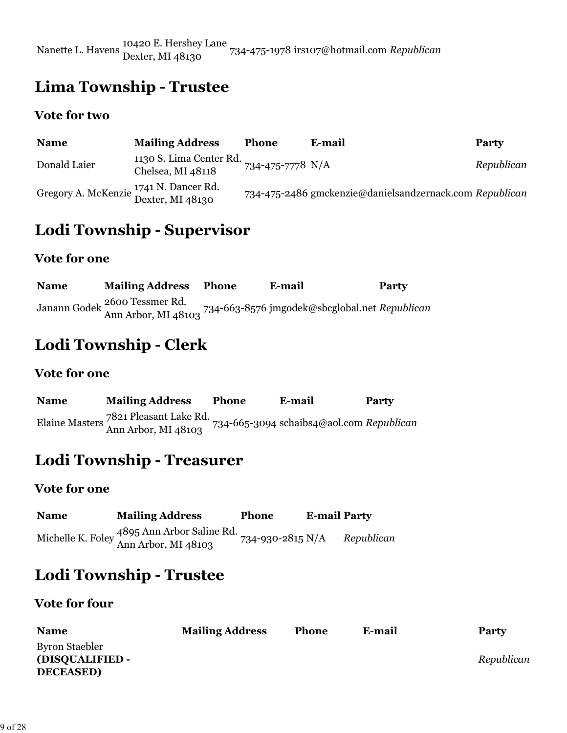Nanette L. Havens 10420 E. Hershey Lane Dexter, MI 48130 734-475-1978 irs107@hotmail.com *Republican*

### **Lima Township - Trustee**

#### **Vote for two**

| <b>Name</b>                                                           | <b>Mailing Address</b>                       | <b>Phone</b>     | E-mail                                                  | Party      |
|-----------------------------------------------------------------------|----------------------------------------------|------------------|---------------------------------------------------------|------------|
| Donald Laier                                                          | 1130 S. Lima Center Rd.<br>Chelsea, MI 48118 | 734-475-7778 N/A |                                                         | Republican |
| Gregory A. McKenzie <sup>1741</sup> N. Dancer Rd.<br>Dexter, MI 48130 |                                              |                  | 734-475-2486 gmckenzie@danielsandzernack.com Republican |            |

## **Lodi Township - Supervisor**

#### **Vote for one**

**Name Mailing Address Phone E-mail Party** Janann Godek 2600 Tessmer Rd. Ann Arbor, MI 48103 734-663-8576 jmgodek@sbcglobal.net *Republican*

## **Lodi Township - Clerk**

#### **Vote for one**

| <b>Name</b> | <b>Mailing Address</b>                                       | <b>Phone</b> | E-mail                                   | Party |
|-------------|--------------------------------------------------------------|--------------|------------------------------------------|-------|
|             | Elaine Masters 7821 Pleasant Lake Rd.<br>Ann Arbor, MI 48103 |              | 734-665-3094 schaibs4@aol.com Republican |       |

### **Lodi Township - Treasurer**

#### **Vote for one**

| <b>Name</b> | <b>Mailing Address</b>                                             | <b>Phone</b>           | <b>E-mail Party</b> |            |
|-------------|--------------------------------------------------------------------|------------------------|---------------------|------------|
|             | Michelle K. Foley 4895 Ann Arbor Saline Rd.<br>Ann Arbor, MI 48103 | $734 - 930 - 2815$ N/A |                     | Republican |

### **Lodi Township - Trustee**

#### **Vote for four**

| <b>Name</b>     | <b>Mailing Address</b> | <b>Phone</b> | E-mail | <b>Party</b> |
|-----------------|------------------------|--------------|--------|--------------|
| Byron Staebler  |                        |              |        |              |
| (DISQUALIFIED - |                        |              |        | Republican   |
| <b>DECEASED</b> |                        |              |        |              |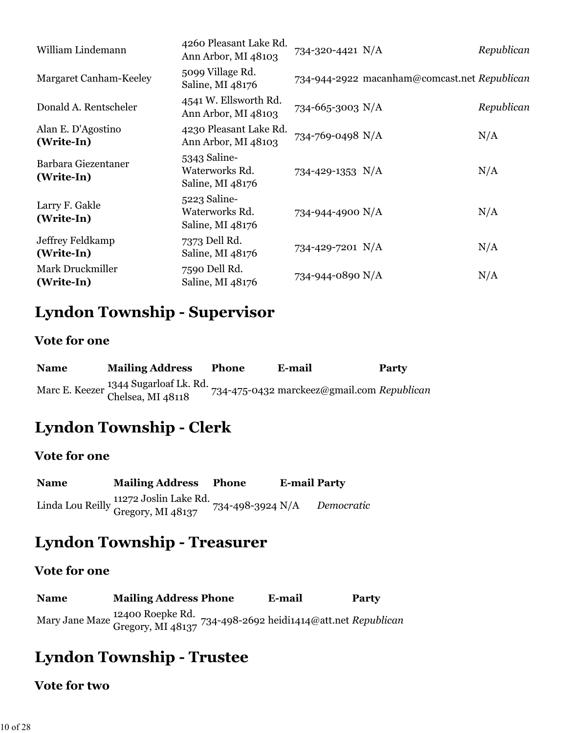| William Lindemann                 | 4260 Pleasant Lake Rd.<br>Ann Arbor, MI 48103      | 734-320-4421 N/A |                                              | Republican |
|-----------------------------------|----------------------------------------------------|------------------|----------------------------------------------|------------|
| Margaret Canham-Keeley            | 5099 Village Rd.<br>Saline, MI 48176               |                  | 734-944-2922 macanham@comcast.net Republican |            |
| Donald A. Rentscheler             | 4541 W. Ellsworth Rd.<br>Ann Arbor, MI 48103       | 734-665-3003 N/A |                                              | Republican |
| Alan E. D'Agostino<br>(Write-In)  | 4230 Pleasant Lake Rd.<br>Ann Arbor, MI 48103      | 734-769-0498 N/A |                                              | N/A        |
| Barbara Giezentaner<br>(Write-In) | 5343 Saline-<br>Waterworks Rd.<br>Saline, MI 48176 | 734-429-1353 N/A |                                              | N/A        |
| Larry F. Gakle<br>(Write-In)      | 5223 Saline-<br>Waterworks Rd.<br>Saline, MI 48176 | 734-944-4900 N/A |                                              | N/A        |
| Jeffrey Feldkamp<br>(Write-In)    | 7373 Dell Rd.<br>Saline, MI 48176                  | 734-429-7201 N/A |                                              | N/A        |
| Mark Druckmiller<br>(Write-In)    | 7590 Dell Rd.<br>Saline, MI 48176                  | 734-944-0890 N/A |                                              | N/A        |

### **Lyndon Township - Supervisor**

#### **Vote for one**

| <b>Name</b> | <b>Mailing Address</b>                                     | <b>Phone</b> | E-mail                                     | Party |
|-------------|------------------------------------------------------------|--------------|--------------------------------------------|-------|
|             | Marc E. Keezer 1344 Sugarloaf Lk. Rd.<br>Chelsea, MI 48118 |              | 734-475-0432 marckeez@gmail.com Republican |       |

### **Lyndon Township - Clerk**

### **Vote for one**

| <b>Name</b> | <b>Mailing Address Phone</b>                                                 | <b>E-mail Party</b> |            |
|-------------|------------------------------------------------------------------------------|---------------------|------------|
|             | Linda Lou Reilly 11272 Joslin Lake Rd.<br>Gregory, MI 48137 734-498-3924 N/A |                     | Democratic |

### **Lyndon Township - Treasurer**

#### **Vote for one**

**Name Mailing Address Phone E-mail Party** Mary Jane Maze 12400 Roepke Rd. Gregory, MI 48137 734-498-2692 heidi1414@att.net *Republican*

### **Lyndon Township - Trustee**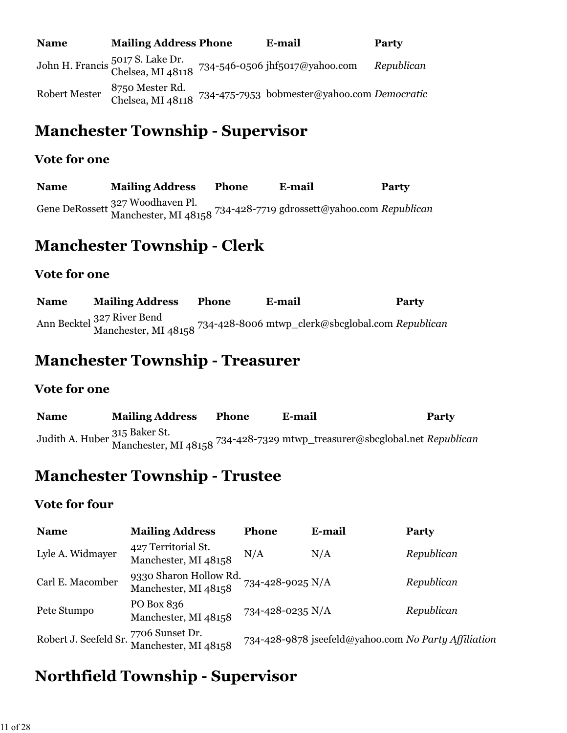| <b>Name</b>          | <b>Mailing Address Phone</b>         | E-mail                                                                               | <b>Party</b> |
|----------------------|--------------------------------------|--------------------------------------------------------------------------------------|--------------|
|                      |                                      | John H. Francis 5017 S. Lake Dr.<br>Chelsea, MI 48118 734-546-0506 jhf5017@yahoo.com | Republican   |
| <b>Robert Mester</b> | 8750 Mester Rd.<br>Chelsea, MI 48118 | 734-475-7953 bobmester@yahoo.com Democratic                                          |              |

# **Manchester Township - Supervisor**

#### **Vote for one**

**Name Mailing Address Phone E-mail Party** Gene DeRossett 327 Woodhaven Pl. Manchester, MI 48158 734-428-7719 gdrossett@yahoo.com *Republican*

### **Manchester Township - Clerk**

#### **Vote for one**

**Name Mailing Address Phone E-mail Party** Ann Becktel 327 River Bend Manchester, MI 48158 734-428-8006 mtwp\_clerk@sbcglobal.com *Republican*

### **Manchester Township - Treasurer**

#### **Vote for one**

**Name Mailing Address Phone E-mail Party** Judith A. Huber 315 Baker St. Manchester, MI 48158 734-428-7329 mtwp\_treasurer@sbcglobal.net *Republican*

### **Manchester Township - Trustee**

### **Vote for four**

| <b>Name</b>                           | <b>Mailing Address</b>                         | <b>Phone</b>     | E-mail                                               | <b>Party</b> |
|---------------------------------------|------------------------------------------------|------------------|------------------------------------------------------|--------------|
| Lyle A. Widmayer                      | 427 Territorial St.<br>Manchester, MI 48158    | N/A              | N/A                                                  | Republican   |
| Carl E. Macomber                      | 9330 Sharon Hollow Rd.<br>Manchester, MI 48158 | 734-428-9025 N/A |                                                      | Republican   |
| Pete Stumpo                           | PO Box 836<br>Manchester, MI 48158             | 734-428-0235 N/A |                                                      | Republican   |
| Robert J. Seefeld Sr. 7706 Sunset Dr. | Manchester, MI 48158                           |                  | 734-428-9878 jseefeld@yahoo.com No Party Affiliation |              |

## **Northfield Township - Supervisor**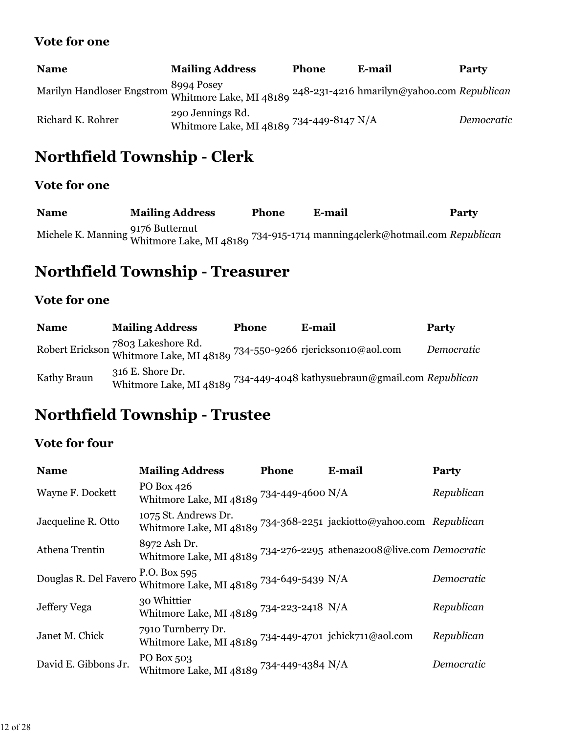| <b>Name</b>                                                                                                                                                                  | <b>Mailing Address</b>                                       | <b>Phone</b> | E-mail | <b>Party</b> |
|------------------------------------------------------------------------------------------------------------------------------------------------------------------------------|--------------------------------------------------------------|--------------|--------|--------------|
| Marilyn Handloser Engstrom Whitmore Lake, MI 48189 $^{248}$ -231-4216 hmarilyn@yahoo.com Republican Whitmore Lake, MI 48189 $^{248}$ -231-4216 hmarilyn@yahoo.com Republican |                                                              |              |        |              |
| Richard K. Rohrer                                                                                                                                                            | 290 Jennings Rd.<br>Whitmore Lake, MI 48189 734-449-8147 N/A |              |        | Democratic   |

# **Northfield Township - Clerk**

### **Vote for one**

| <b>Name</b> | <b>Mailing Address</b> | <b>Phone</b> | E-mail                                                                                                        | <b>Party</b> |
|-------------|------------------------|--------------|---------------------------------------------------------------------------------------------------------------|--------------|
|             |                        |              | Michele K. Manning 9176 Butternut<br>Whitmore Lake, MI 48189 734-915-1714 manning4clerk@hotmail.com Republica |              |

# **Northfield Township - Treasurer**

### **Vote for one**

| <b>Name</b> | <b>Mailing Address</b>                                                                          | <b>Phone</b> | E-mail                                                                  | <b>Party</b> |
|-------------|-------------------------------------------------------------------------------------------------|--------------|-------------------------------------------------------------------------|--------------|
|             | Robert Erickson 7803 Lakeshore Rd.<br>Whitmore Lake, MI 48189 734-550-9266 rjerickson10@aol.com |              |                                                                         | Democratic   |
| Kathy Braun | 316 E. Shore Dr.                                                                                |              | Whitmore Lake, MI 48189 734-449-4048 kathysuebraun@gmail.com Republican |              |

### **Northfield Township - Trustee**

### **Vote for four**

| <b>Name</b>           | <b>Mailing Address</b>                                                                          | Phone | E-mail | Party      |
|-----------------------|-------------------------------------------------------------------------------------------------|-------|--------|------------|
| Wayne F. Dockett      | PO Box 426<br>Whitmore Lake, MI 48189 $^{734\text{-}449\text{-}4600\ \mathrm{N/A}}$             |       |        | Republican |
| Jacqueline R. Otto    | 1075 St. Andrews Dr.<br>Whitmore Lake, MI 48189 734-368-2251 jackiotto@yahoo.com Republican     |       |        |            |
| Athena Trentin        | 8972 Ash Dr.<br>Whitmore Lake, MI 48189 734-276-2295 athena2008@live.com Democratic             |       |        |            |
| Douglas R. Del Favero | P.O. Box 595<br>Whitmore Lake, MI 48189 734-649-5439 N/A                                        |       |        | Democratic |
| Jeffery Vega          | 30 Whittier<br>Whitmore Lake, MI 48189 734-223-2418 N/A                                         |       |        | Republican |
| Janet M. Chick        | 7910 Turnberry Dr.<br>Whitmore Lake, MI 48189 $^{734\text{-}449\text{-}4701}$ jchick711@aol.com |       |        | Republican |
| David E. Gibbons Jr.  | PO Box 503<br>Whitmore Lake, MI 48189 734-449-4384 N/A                                          |       |        | Democratic |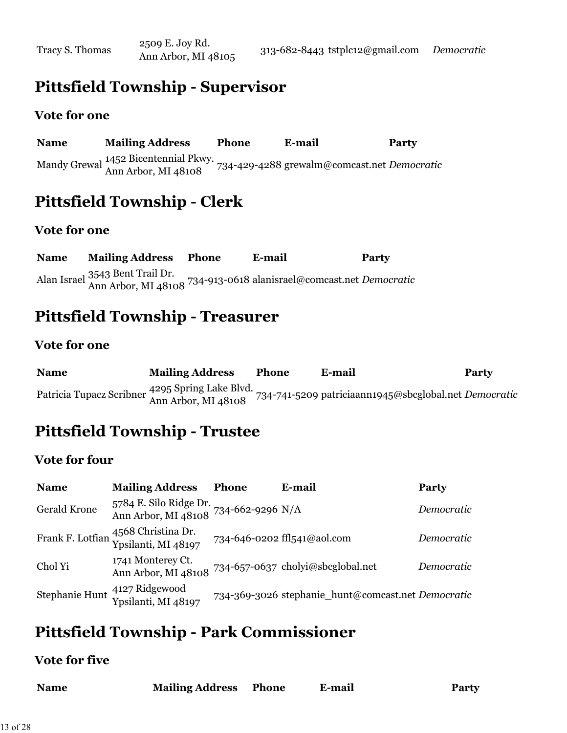### **Pittsfield Township - Supervisor**

#### **Vote for one**

**Name Mailing Address Phone E-mail Party** Mandy Grewal 1452 Bicentennial Pkwy. Ann Arbor, MI 48108 734-429-4288 grewalm@comcast.net *Democratic*

# **Pittsfield Township - Clerk**

#### **Vote for one**

**Name Mailing Address Phone E-mail Party** Alan Israel 3543 Bent Trail Dr. Ann Arbor, MI 48108 734-913-0618 alanisrael@comcast.net *Democratic*

### **Pittsfield Township - Treasurer**

#### **Vote for one**

| <b>Name</b>                                                            | <b>Mailing Address</b> | <b>Phone</b> | E-mail                                                | <b>Party</b> |
|------------------------------------------------------------------------|------------------------|--------------|-------------------------------------------------------|--------------|
| Patricia Tupacz Scribner 4295 Spring Lake Blvd.<br>Ann Arbor, MI 48108 |                        |              | 734-741-5209 patriciaann1945@sbcglobal.net Democratic |              |

## **Pittsfield Township - Trustee**

#### **Vote for four**

| <b>Name</b>         | <b>Mailing Address</b>                                                          | <b>Phone</b> | E-mail                                             | Party      |
|---------------------|---------------------------------------------------------------------------------|--------------|----------------------------------------------------|------------|
| <b>Gerald Krone</b> | 5784 E. Silo Ridge Dr. 734-662-9296 N/A<br>Ann Arbor, MI 48108 734-662-9296 N/A |              |                                                    | Democratic |
|                     | Frank F. Lotfian 4568 Christina Dr.<br>Ypsilanti, MI 48197                      |              | 734-646-0202 ffl541@aol.com                        | Democratic |
| Chol Yi             | 1741 Monterey Ct.<br>Ann Arbor, MI 48108                                        |              | 734-657-0637 cholyi@sbcglobal.net                  | Democratic |
|                     | Stephanie Hunt 4127 Ridgewood<br>Ypsilanti, MI 48197                            |              | 734-369-3026 stephanie_hunt@comcast.net Democratic |            |

### **Pittsfield Township - Park Commissioner**

#### **Vote for five**

| <b>Mailing Address Phone</b><br><b>Name</b> |  | E-mail | <b>Party</b> |
|---------------------------------------------|--|--------|--------------|
|---------------------------------------------|--|--------|--------------|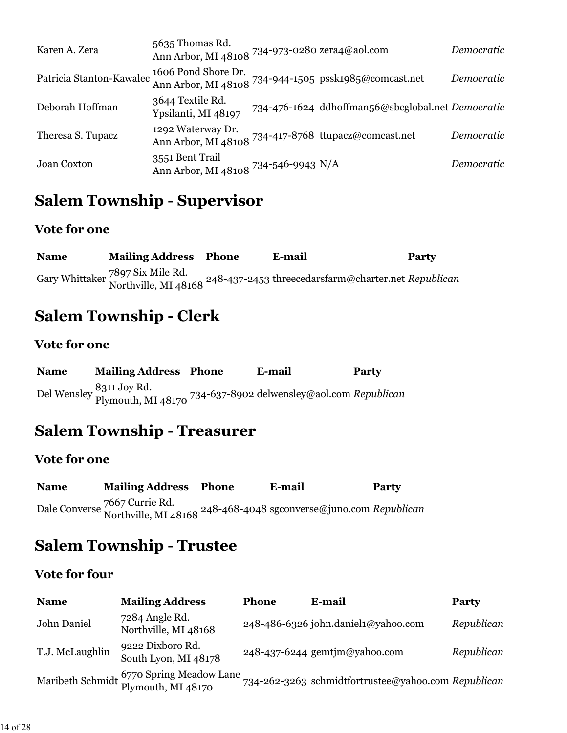| Karen A. Zera            | 5635 Thomas Rd.<br>Ann Arbor, MI 48108 734-973-0280 zera4@aol.com |                                                       | Democratic |
|--------------------------|-------------------------------------------------------------------|-------------------------------------------------------|------------|
| Patricia Stanton-Kawalec | 1606 Pond Shore Dr.                                               | Ann Arbor, MI 48108 734-944-1505 pssk1985@comcast.net | Democratic |
| Deborah Hoffman          | 3644 Textile Rd.<br>Ypsilanti, MI 48197                           | 734-476-1624 ddhoffman56@sbcglobal.net Democratic     |            |
| Theresa S. Tupacz        | 1292 Waterway Dr.                                                 | Ann Arbor, MI 48108 734-417-8768 ttupacz@comcast.net  | Democratic |
| Joan Coxton              | 3551 Bent Trail<br>Ann Arbor, MI 48108 734-546-9943 N/A           |                                                       | Democratic |

### **Salem Township - Supervisor**

### **Vote for one**

| <b>Name</b> | <b>Mailing Address Phone</b> | E-mail                                                                                                                  | Party |
|-------------|------------------------------|-------------------------------------------------------------------------------------------------------------------------|-------|
|             |                              | Gary Whittaker 7897 Six Mile Rd.<br>Northville, MI 48168 <sup>248-437-2453</sup> threecedarsfarm@charter.net Republican |       |

# **Salem Township - Clerk**

### **Vote for one**

| <b>Name</b> | <b>Mailing Address Phone</b> | E-mail                                                                                    | <b>Party</b> |
|-------------|------------------------------|-------------------------------------------------------------------------------------------|--------------|
|             |                              | Del Wensley 8311 Joy Rd.<br>Plymouth, MI 48170 734-637-8902 delwensley@aol.com Republican |              |

# **Salem Township - Treasurer**

### **Vote for one**

| <b>Name</b> | <b>Mailing Address Phone</b> | E-mail                                                                                                       | Party |
|-------------|------------------------------|--------------------------------------------------------------------------------------------------------------|-------|
|             |                              | Dale Converse 7667 Currie Rd.<br>Northville, MI 48168 <sup>248-468-4048</sup> sgconverse@juno.com Republican |       |

### **Salem Township - Trustee**

### **Vote for four**

| <b>Name</b>     | <b>Mailing Address</b>                                          | <b>Phone</b> | E-mail                                              | <b>Party</b> |
|-----------------|-----------------------------------------------------------------|--------------|-----------------------------------------------------|--------------|
| John Daniel     | 7284 Angle Rd.<br>Northville, MI 48168                          |              | 248-486-6326 john.daniel1@yahoo.com                 | Republican   |
| T.J. McLaughlin | 9222 Dixboro Rd.<br>South Lyon, MI 48178                        |              | 248-437-6244 gemtjm@yahoo.com                       | Republican   |
|                 | Maribeth Schmidt 6770 Spring Meadow Lane,<br>Plymouth, MI 48170 |              | 734-262-3263 schmidtfortrustee@yahoo.com Republican |              |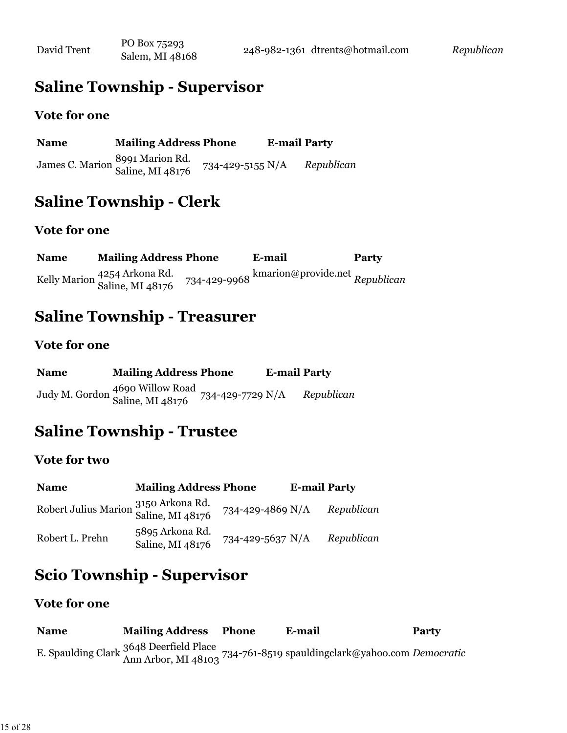## **Saline Township - Supervisor**

#### **Vote for one**

| <b>Name</b> | <b>Mailing Address Phone</b>                        |                  | <b>E-mail Party</b> |            |
|-------------|-----------------------------------------------------|------------------|---------------------|------------|
|             | James C. Marion 8991 Marion Rd.<br>Saline, MI 48176 | 734-429-5155 N/A |                     | Republican |

# **Saline Township - Clerk**

#### **Vote for one**

**Name Mailing Address Phone E-mail Party** Kelly Marion <sup>4254</sup> Arkona Rd.<br>Saline, MI 48176 Saline, MI 48176 734-429-9968 kmarion@provide.net *Republican*

### **Saline Township - Treasurer**

#### **Vote for one**

| <b>Name</b> | <b>Mailing Address Phone</b>                                         | <b>E-mail Party</b> |            |
|-------------|----------------------------------------------------------------------|---------------------|------------|
|             | Judy M. Gordon 4690 Willow Road<br>Saline, MI 48176 734-429-7729 N/A |                     | Republican |

### **Saline Township - Trustee**

#### **Vote for two**

| <b>Name</b>                                              | <b>Mailing Address Phone</b>        |                  | <b>E-mail Party</b> |            |
|----------------------------------------------------------|-------------------------------------|------------------|---------------------|------------|
| Robert Julius Marion 3150 Arkona Rd.<br>Saline, MI 48176 |                                     | 734-429-4869 N/A |                     | Republican |
| Robert L. Prehn                                          | 5895 Arkona Rd.<br>Saline, MI 48176 | 734-429-5637 N/A |                     | Republican |

# **Scio Township - Supervisor**

#### **Vote for one**

**Name Mailing Address Phone E-mail Party** E. Spaulding Clark 3648 Deerfield Place Ann Arbor, MI 48103 734-761-8519 spauldingclark@yahoo.com *Democratic*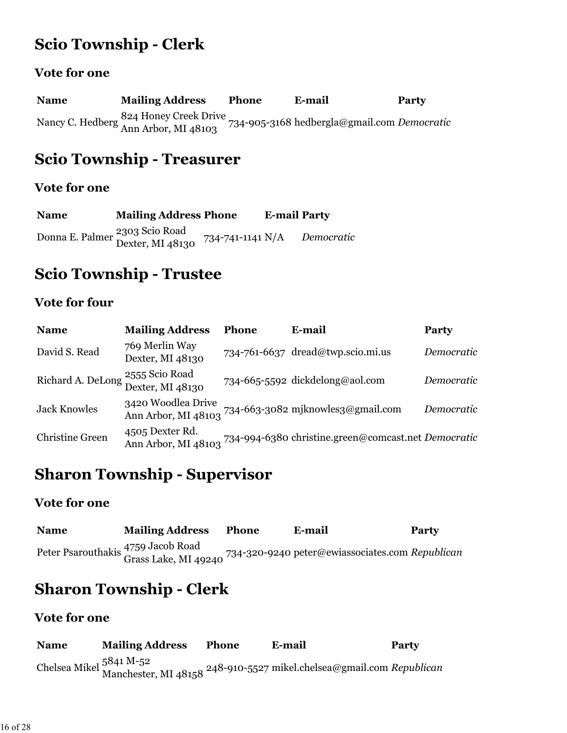# **Scio Township - Clerk**

### **Vote for one**

**Name Mailing Address Phone E-mail Party** Nancy C. Hedberg 824 Honey Creek Drive Ann Arbor, MI 48103 734-905-3168 hedbergla@gmail.com *Democratic*

### **Scio Township - Treasurer**

#### **Vote for one**

| <b>Name</b> | <b>Mailing Address Phone</b>                                  |                  | <b>E-mail Party</b> |            |
|-------------|---------------------------------------------------------------|------------------|---------------------|------------|
|             | Donna E. Palmer <sup>2303</sup> Scio Road<br>Dexter, MI 48130 | 734-741-1141 N/A |                     | Democratic |

### **Scio Township - Trustee**

### **Vote for four**

| <b>Name</b>            | <b>Mailing Address</b>                                | Phone | E-mail                                              | Party      |
|------------------------|-------------------------------------------------------|-------|-----------------------------------------------------|------------|
| David S. Read          | 769 Merlin Way<br>Dexter, MI 48130                    |       | 734-761-6637 dread@twp.scio.mi.us                   | Democratic |
|                        | 2555 Scio Road<br>Richard A. DeLong 2000 North 148130 |       | 734-665-5592 dickdelong@aol.com                     | Democratic |
| <b>Jack Knowles</b>    | 3420 Woodlea Drive<br>Ann Arbor, MI 48103             |       | 734-663-3082 mjknowles3@gmail.com                   | Democratic |
| <b>Christine Green</b> | 4505 Dexter Rd.<br>Ann Arbor, MI 48103                |       | 734-994-6380 christine.green@comcast.net Democratic |            |

### **Sharon Township - Supervisor**

#### **Vote for one**

| <b>Name</b> | <b>Mailing Address</b> | <b>Phone</b> | E-mail                                                                                                     | Party |
|-------------|------------------------|--------------|------------------------------------------------------------------------------------------------------------|-------|
|             |                        |              | Peter Psarouthakis 4759 Jacob Road<br>Grass Lake, MI 49240 734-320-9240 peter@ewiassociates.com Republican |       |

# **Sharon Township - Clerk**

| <b>Name</b> | <b>Mailing Address</b> | <b>Phone</b> | E-mail                                                                                                     | Party |
|-------------|------------------------|--------------|------------------------------------------------------------------------------------------------------------|-------|
|             |                        |              | Chelsea Mikel 5841 M-52<br>Manchester, MI 48158 <sup>248-910-5527</sup> mikel.chelsea@gmail.com Republican |       |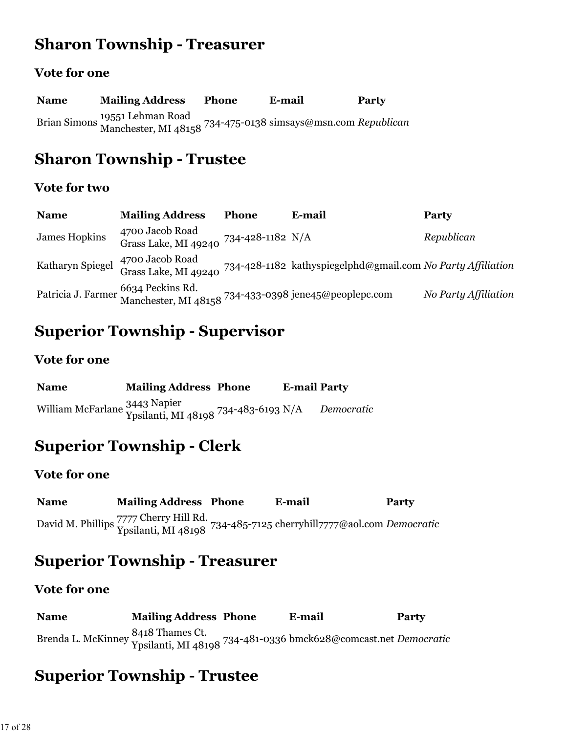## **Sharon Township - Treasurer**

#### **Vote for one**

**Name Mailing Address Phone E-mail Party** Brian Simons 19551 Lehman Road Manchester, MI 48158 734-475-0138 simsays@msn.com *Republican*

### **Sharon Township - Trustee**

#### **Vote for two**

| <b>Name</b>          | <b>Mailing Address</b>                                   | <b>Phone</b> | E-mail                                                                                       | Party                |
|----------------------|----------------------------------------------------------|--------------|----------------------------------------------------------------------------------------------|----------------------|
| <b>James Hopkins</b> | 4700 Jacob Road<br>Grass Lake, MI 49240 734-428-1182 N/A |              |                                                                                              | Republican           |
| Katharyn Spiegel     | 4700 Jacob Road                                          |              | Grass Lake, MI 49240 734-428-1182 kathyspiegelphd@gmail.com No Party Affiliation             |                      |
|                      |                                                          |              | Patricia J. Farmer 6634 Peckins Rd.<br>Manchester, MI 48158 734-433-0398 jene45@peoplepc.com | No Party Affiliation |

### **Superior Township - Supervisor**

#### **Vote for one**

| <b>Name</b> | <b>Mailing Address Phone</b>                                          | <b>E-mail Party</b> |            |
|-------------|-----------------------------------------------------------------------|---------------------|------------|
|             | villiam McFarlane 3443 Napier<br>Vosilanti. MI 48198 734-483-6193 N/A |                     | Democratic |

# **Superior Township - Clerk**

#### **Vote for one**

**Name Mailing Address Phone E-mail Party** David M. Phillips 7777 Cherry Hill Rd. Ypsilanti, MI 48198 734-485-7125 cherryhill7777@aol.com *Democratic*

## **Superior Township - Treasurer**

#### **Vote for one**

| <b>Name</b> | <b>Mailing Address Phone</b> | E-mail                                                                                                | Party |
|-------------|------------------------------|-------------------------------------------------------------------------------------------------------|-------|
|             |                              | Brenda L. McKinney 8418 Thames Ct.<br>Ypsilanti, MI 48198 734-481-0336 bmck628@comcast.net Democratic |       |

## **Superior Township - Trustee**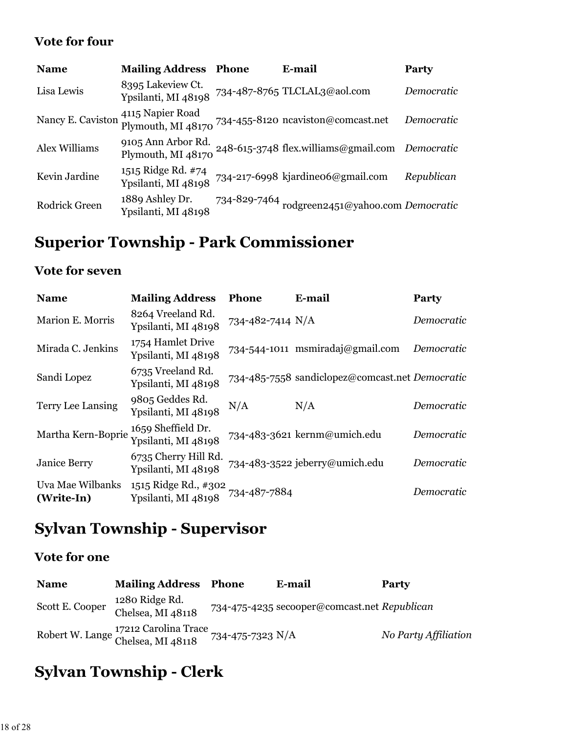### **Vote for four**

| <b>Name</b>          | <b>Mailing Address</b>                    | Phone | E-mail                                                    | Party      |
|----------------------|-------------------------------------------|-------|-----------------------------------------------------------|------------|
| Lisa Lewis           | 8395 Lakeview Ct.<br>Ypsilanti, MI 48198  |       | 734-487-8765 TLCLAL3@aol.com                              | Democratic |
| Nancy E. Caviston    | 4115 Napier Road<br>Plymouth, MI 48170    |       | 734-455-8120 ncaviston@comcast.net                        | Democratic |
| Alex Williams        | 9105 Ann Arbor Rd.<br>Plymouth, MI 48170  |       | 248-615-3748 flex.williams@gmail.com Democratic           |            |
| Kevin Jardine        | 1515 Ridge Rd. #74<br>Ypsilanti, MI 48198 |       | 734-217-6998 kjardineo6@gmail.com                         | Republican |
| <b>Rodrick Green</b> | 1889 Ashley Dr.<br>Ypsilanti, MI 48198    |       | 734-829-7464 $_{\rm rodgreen2451@yahoo.com}$ $Democratic$ |            |

# **Superior Township - Park Commissioner**

### **Vote for seven**

| <b>Name</b>                    | <b>Mailing Address</b>                      | <b>Phone</b>     | E-mail                                          | Party      |
|--------------------------------|---------------------------------------------|------------------|-------------------------------------------------|------------|
| Marion E. Morris               | 8264 Vreeland Rd.<br>Ypsilanti, MI 48198    | 734-482-7414 N/A |                                                 | Democratic |
| Mirada C. Jenkins              | 1754 Hamlet Drive<br>Ypsilanti, MI 48198    |                  | 734-544-1011 msmiradaj@gmail.com                | Democratic |
| Sandi Lopez                    | 6735 Vreeland Rd.<br>Ypsilanti, MI 48198    |                  | 734-485-7558 sandiclopez@comcast.net Democratic |            |
| Terry Lee Lansing              | 9805 Geddes Rd.<br>Ypsilanti, MI 48198      | N/A              | N/A                                             | Democratic |
| Martha Kern-Boprie             | 1659 Sheffield Dr.<br>Ypsilanti, MI 48198   |                  | 734-483-3621 kernm@umich.edu                    | Democratic |
| <b>Janice Berry</b>            | 6735 Cherry Hill Rd.<br>Ypsilanti, MI 48198 |                  | 734-483-3522 jeberry@umich.edu                  | Democratic |
| Uva Mae Wilbanks<br>(Write-In) | 1515 Ridge Rd., #302<br>Ypsilanti, MI 48198 | 734-487-7884     |                                                 | Democratic |

# **Sylvan Township - Supervisor**

### **Vote for one**

| <b>Name</b>     | <b>Mailing Address Phone</b>                                               | E-mail                                       | <b>Party</b>         |
|-----------------|----------------------------------------------------------------------------|----------------------------------------------|----------------------|
| Scott E. Cooper | 1280 Ridge Rd.<br>Chelsea, MI 48118                                        | 734-475-4235 secooper@comcast.net Republican |                      |
|                 | Robert W. Lange 17212 Carolina Trace<br>Chelsea, MI 48118 734-475-7323 N/A |                                              | No Party Affiliation |

# **Sylvan Township - Clerk**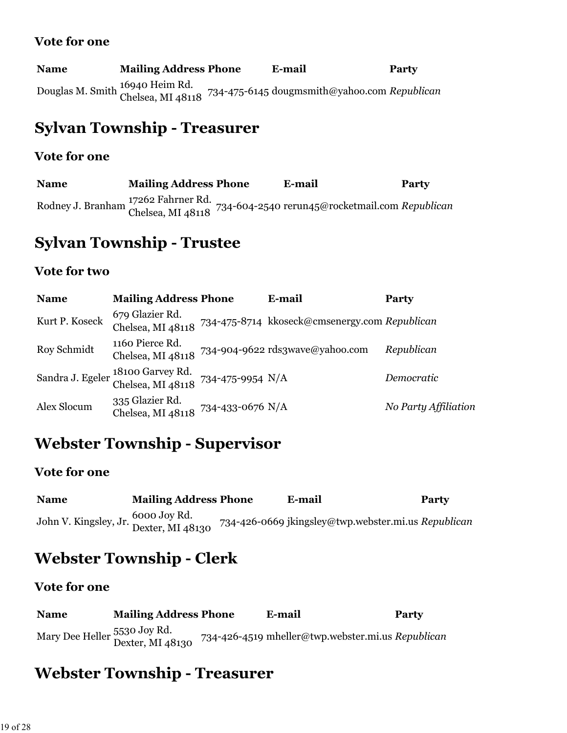| <b>Name</b> | <b>Mailing Address Phone</b> | E-mail                                                                                                                  | <b>Party</b> |
|-------------|------------------------------|-------------------------------------------------------------------------------------------------------------------------|--------------|
|             |                              | Douglas M. Smith <sup>16940</sup> Heim Rd.<br>Chelsea, MI 48118 <sup>734-475-6145</sup> dougmsmith@yahoo.com Republican |              |

### **Sylvan Township - Treasurer**

#### **Vote for one**

**Name Mailing Address Phone E-mail Party** Rodney J. Branham 17262 Fahrner Rd. Chelsea, MI 48118 734-604-2540 rerun45@rocketmail.com *Republican*

### **Sylvan Township - Trustee**

#### **Vote for two**

| <b>Name</b>      | <b>Mailing Address Phone</b>                           |                  | E-mail                                                          | <b>Party</b>         |
|------------------|--------------------------------------------------------|------------------|-----------------------------------------------------------------|----------------------|
| Kurt P. Koseck   | 679 Glazier Rd.                                        |                  | Chelsea, MI 48118 734-475-8714 kkoseck@cmsenergy.com Republican |                      |
| Roy Schmidt      | 1160 Pierce Rd.<br>Chelsea, MI 48118                   |                  | 734-904-9622 rds3wave@yahoo.com                                 | Republican           |
| Sandra J. Egeler | 18100 Garvey Rd.<br>Chelsea, MI 48118 734-475-9954 N/A |                  |                                                                 | Democratic           |
| Alex Slocum      | 335 Glazier Rd.<br>Chelsea, MI 48118                   | 734-433-0676 N/A |                                                                 | No Party Affiliation |

## **Webster Township - Supervisor**

#### **Vote for one**

| <b>Name</b>                                            | <b>Mailing Address Phone</b> | E-mail                                              | Party |
|--------------------------------------------------------|------------------------------|-----------------------------------------------------|-------|
| John V. Kingsley, Jr. 6000 Joy Rd.<br>Dexter, MI 48130 |                              | 734-426-0669 jkingsley@twp.webster.mi.us Republican |       |

### **Webster Township - Clerk**

### **Vote for one**

| <b>Name</b> | <b>Mailing Address Phone</b>                     | E-mail                                            | Party |
|-------------|--------------------------------------------------|---------------------------------------------------|-------|
|             | Mary Dee Heller 5530 Joy Rd.<br>Dexter, MI 48130 | 734-426-4519 mheller@twp.webster.mi.us Republican |       |

### **Webster Township - Treasurer**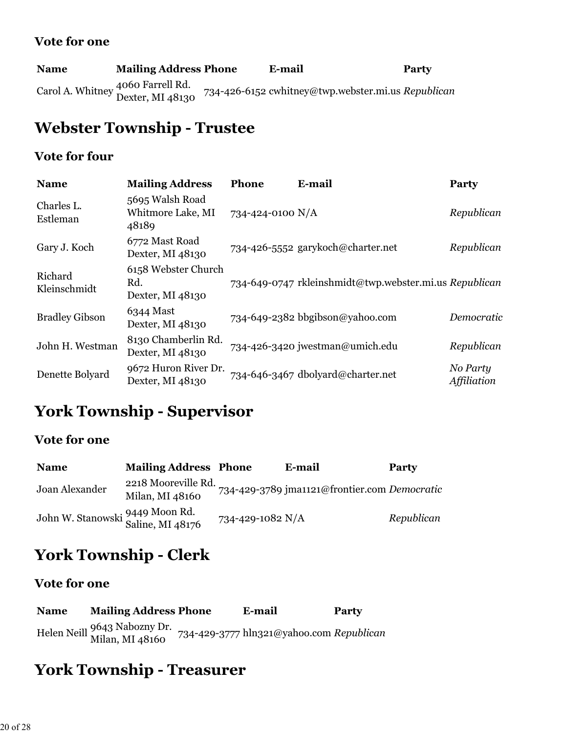| <b>Name</b> | <b>Mailing Address Phone</b>                          | E-mail                                             | Party |
|-------------|-------------------------------------------------------|----------------------------------------------------|-------|
|             | Carol A. Whitney 4060 Farrell Rd.<br>Dexter, MI 48130 | 734-426-6152 cwhitney@twp.webster.mi.us Republican |       |

# **Webster Township - Trustee**

### **Vote for four**

| <b>Name</b>             | <b>Mailing Address</b>                         | Phone            | E-mail                                                 | Party                   |
|-------------------------|------------------------------------------------|------------------|--------------------------------------------------------|-------------------------|
| Charles L.<br>Estleman  | 5695 Walsh Road<br>Whitmore Lake, MI<br>48189  | 734-424-0100 N/A |                                                        | Republican              |
| Gary J. Koch            | 6772 Mast Road<br>Dexter, MI 48130             |                  | 734-426-5552 garykoch@charter.net                      | Republican              |
| Richard<br>Kleinschmidt | 6158 Webster Church<br>Rd.<br>Dexter, MI 48130 |                  | 734-649-0747 rkleinshmidt@twp.webster.mi.us Republican |                         |
| <b>Bradley Gibson</b>   | 6344 Mast<br>Dexter, MI 48130                  |                  | 734-649-2382 bbgibson@yahoo.com                        | Democratic              |
| John H. Westman         | 8130 Chamberlin Rd.<br>Dexter, MI 48130        |                  | 734-426-3420 jwestman@umich.edu                        | Republican              |
| Denette Bolyard         | 9672 Huron River Dr.<br>Dexter, MI 48130       |                  | 734-646-3467 dbolyard@charter.net                      | No Party<br>Affiliation |

# **York Township - Supervisor**

### **Vote for one**

| <b>Name</b>                                         | <b>Mailing Address Phone</b>           |                  | E-mail                                       | <b>Party</b> |
|-----------------------------------------------------|----------------------------------------|------------------|----------------------------------------------|--------------|
| Joan Alexander                                      | 2218 Mooreville Rd.<br>Milan, MI 48160 |                  | 734-429-3789 jma1121@frontier.com Democratic |              |
| John W. Stanowski 9449 Moon Rd.<br>Saline, MI 48176 |                                        | 734-429-1082 N/A |                                              | Republican   |

# **York Township - Clerk**

### **Vote for one**

| <b>Name</b> | <b>Mailing Address Phone</b>                    | E-mail                                   | Party |
|-------------|-------------------------------------------------|------------------------------------------|-------|
|             | Helen Neill 9643 Nabozny Dr.<br>Milan, MI 48160 | 734-429-3777 hln321@yahoo.com Republican |       |

# **York Township - Treasurer**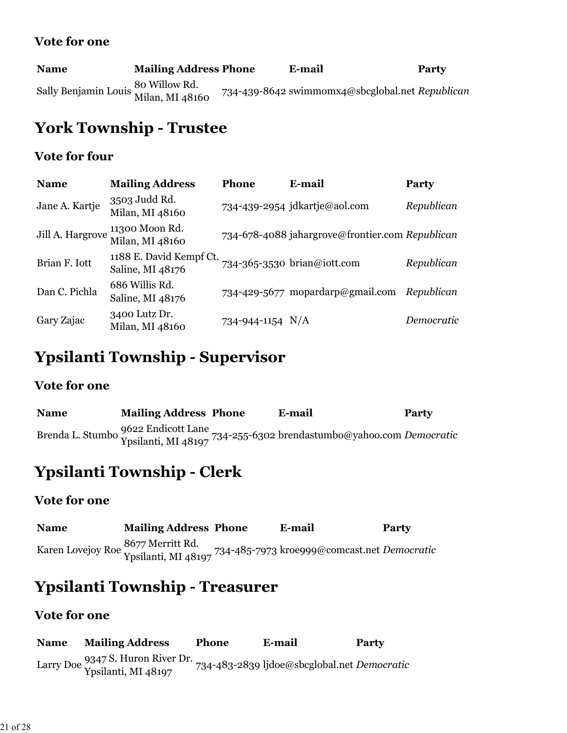| <b>Name</b>                                           | <b>Mailing Address Phone</b> | E-mail                                          | Party |
|-------------------------------------------------------|------------------------------|-------------------------------------------------|-------|
| Sally Benjamin Louis 80 Willow Rd.<br>Milan, MI 48160 |                              | 734-439-8642 swimmomx4@sbcglobal.net Republican |       |

# **York Township - Trustee**

#### **Vote for four**

| <b>Name</b>      | <b>Mailing Address</b>                      | Phone              | E-mail                                          | Party      |
|------------------|---------------------------------------------|--------------------|-------------------------------------------------|------------|
| Jane A. Kartje   | 3503 Judd Rd.<br>Milan, MI 48160            |                    | 734-439-2954 jdkartje@aol.com                   | Republican |
| Jill A. Hargrove | 11300 Moon Rd.<br>Milan, MI 48160           |                    | 734-678-4088 jahargrove@frontier.com Republican |            |
| Brian F. Iott    | 1188 E. David Kempf Ct.<br>Saline, MI 48176 |                    | 734-365-3530 brian@iott.com                     | Republican |
| Dan C. Pichla    | 686 Willis Rd.<br>Saline, MI 48176          |                    | 734-429-5677 mopardarp@gmail.com Republican     |            |
| Gary Zajac       | 3400 Lutz Dr.<br>Milan, MI 48160            | 734-944-1154 $N/A$ |                                                 | Democratic |

### **Ypsilanti Township - Supervisor**

#### **Vote for one**

| <b>Name</b> | <b>Mailing Address Phone</b> | E-mail                                                                                                    | Party |
|-------------|------------------------------|-----------------------------------------------------------------------------------------------------------|-------|
|             |                              | Brenda L. Stumbo 9622 Endicott Lane<br>Ypsilanti, MI 48197 734-255-6302 brendastumbo@yahoo.com Democratic |       |

## **Ypsilanti Township - Clerk**

### **Vote for one**

| <b>Name</b> | <b>Mailing Address Phone</b> | E-mail                                                                                                | <b>Party</b> |
|-------------|------------------------------|-------------------------------------------------------------------------------------------------------|--------------|
|             |                              | Karen Lovejoy Roe 8677 Merritt Rd.<br>Ypsilanti, MI 48197 734-485-7973 kroeggg@comcast.net Democratic |              |

## **Ypsilanti Township - Treasurer**

#### **Vote for one**

**Name Mailing Address Phone E-mail Party** Larry Doe 9347 S. Huron River Dr. Ypsilanti, MI 48197 734-483-2839 ljdoe@sbcglobal.net *Democratic*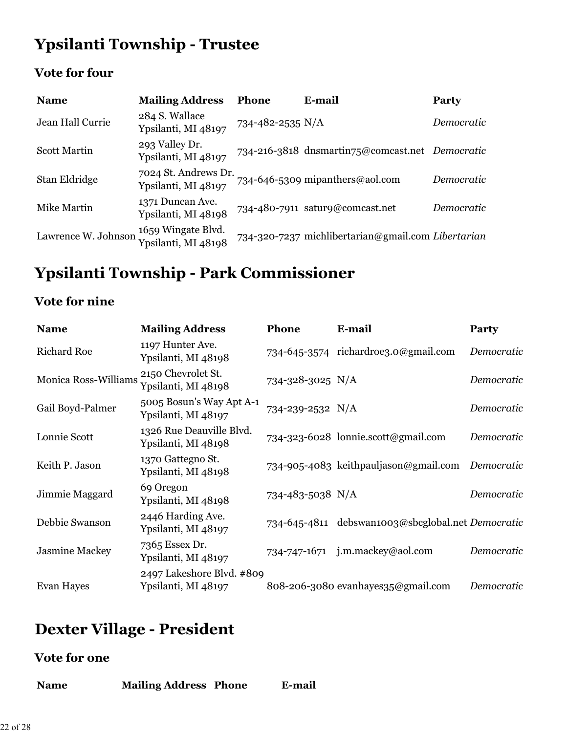# **Ypsilanti Township - Trustee**

### **Vote for four**

| <b>Name</b>         | <b>Mailing Address</b>                      | <b>Phone</b>     | E-mail                                             | Party      |
|---------------------|---------------------------------------------|------------------|----------------------------------------------------|------------|
| Jean Hall Currie    | 284 S. Wallace<br>Ypsilanti, MI 48197       | 734-482-2535 N/A |                                                    | Democratic |
| <b>Scott Martin</b> | 293 Valley Dr.<br>Ypsilanti, MI 48197       |                  | 734-216-3818 dnsmartin75@comcast.net Democratic    |            |
| Stan Eldridge       | 7024 St. Andrews Dr.<br>Ypsilanti, MI 48197 |                  | 734-646-5309 mipanthers@aol.com                    | Democratic |
| Mike Martin         | 1371 Duncan Ave.<br>Ypsilanti, MI 48198     |                  | 734-480-7911 satur9@comcast.net                    | Democratic |
| Lawrence W. Johnson | 1659 Wingate Blvd.<br>Ypsilanti, MI 48198   |                  | 734-320-7237 michlibertarian@gmail.com Libertarian |            |

# **Ypsilanti Township - Park Commissioner**

### **Vote for nine**

| <b>Name</b>           | <b>Mailing Address</b>                           | Phone            | E-mail                                            | Party      |
|-----------------------|--------------------------------------------------|------------------|---------------------------------------------------|------------|
| <b>Richard Roe</b>    | 1197 Hunter Ave.<br>Ypsilanti, MI 48198          |                  | 734-645-3574 richardroe3.0@gmail.com              | Democratic |
| Monica Ross-Williams  | 2150 Chevrolet St.<br>Ypsilanti, MI 48198        | 734-328-3025 N/A |                                                   | Democratic |
| Gail Boyd-Palmer      | 5005 Bosun's Way Apt A-1<br>Ypsilanti, MI 48197  | 734-239-2532 N/A |                                                   | Democratic |
| Lonnie Scott          | 1326 Rue Deauville Blvd.<br>Ypsilanti, MI 48198  |                  | 734-323-6028 lonnie.scott@gmail.com               | Democratic |
| Keith P. Jason        | 1370 Gattegno St.<br>Ypsilanti, MI 48198         |                  | 734-905-4083 keithpauljason@gmail.com Democratic  |            |
| Jimmie Maggard        | 69 Oregon<br>Ypsilanti, MI 48198                 | 734-483-5038 N/A |                                                   | Democratic |
| Debbie Swanson        | 2446 Harding Ave.<br>Ypsilanti, MI 48197         |                  | 734-645-4811 debswan1003@sbcglobal.net Democratic |            |
| <b>Jasmine Mackey</b> | 7365 Essex Dr.<br>Ypsilanti, MI 48197            |                  | 734-747-1671 j.m.mackey@aol.com                   | Democratic |
| Evan Hayes            | 2497 Lakeshore Blvd. #809<br>Ypsilanti, MI 48197 |                  | 808-206-3080 evanhayes35@gmail.com                | Democratic |

# **Dexter Village - President**

| <b>Mailing Address Phone</b><br><b>Name</b> | E-mail |
|---------------------------------------------|--------|
|---------------------------------------------|--------|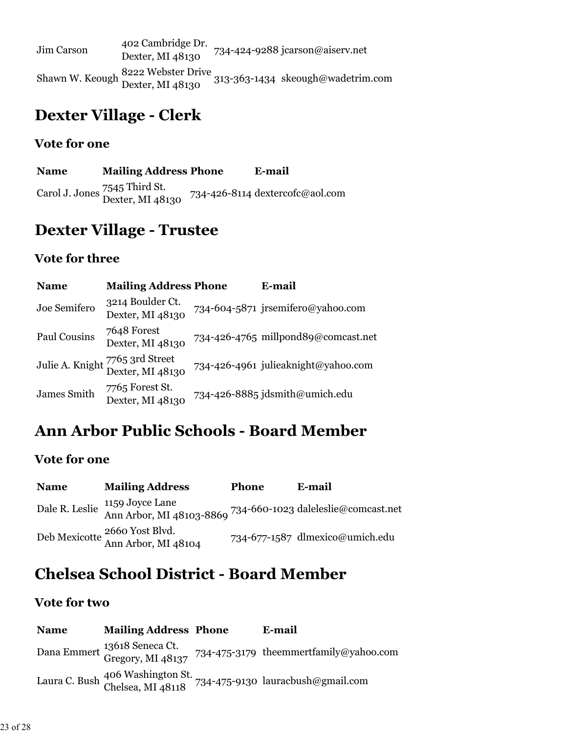| Jim Carson | 402 Cambridge Dr.<br>Dexter, MI 48130 | 734-424-9288 jcarson@aiserv.net                                                          |
|------------|---------------------------------------|------------------------------------------------------------------------------------------|
|            |                                       | Shawn W. Keough 8222 Webster Drive<br>Dexter, MI 48130 313-363-1434 skeough@wadetrim.com |

### **Dexter Village - Clerk**

### **Vote for one**

**Name Mailing Address Phone E-mail** Carol J. Jones 7545 Third St. Dexter, MI 48130 734-426-8114 dextercofc@aol.com

### **Dexter Village - Trustee**

#### **Vote for three**

| <b>Name</b>  | <b>Mailing Address Phone</b>                        | E-mail                              |
|--------------|-----------------------------------------------------|-------------------------------------|
| Joe Semifero | 3214 Boulder Ct.<br>Dexter, MI 48130                | 734-604-5871 jrsemifero@yahoo.com   |
| Paul Cousins | 7648 Forest<br>Dexter, MI 48130                     | 734-426-4765 millpond89@comcast.net |
|              | Julie A. Knight 7765 3rd Street<br>Dexter, MI 48130 | 734-426-4961 julieaknight@yahoo.com |
| James Smith  | 7765 Forest St.<br>Dexter, MI 48130                 | 734-426-8885 jdsmith@umich.edu      |

## **Ann Arbor Public Schools - Board Member**

#### **Vote for one**

| <b>Name</b> | <b>Mailing Address</b>                                                                                                  | <b>Phone</b> | E-mail                          |
|-------------|-------------------------------------------------------------------------------------------------------------------------|--------------|---------------------------------|
|             | Dale R. Leslie $\frac{1159 \text{ Joyce Lane}}{\text{Ann Arbor, MI } 48103 - 8869}$ 734-660-1023 daleleslie@comcast.net |              |                                 |
|             | Deb Mexicotte 2660 Yost Blvd.<br>Ann Arbor, MI 48104                                                                    |              | 734-677-1587 dlmexico@umich.edu |

### **Chelsea School District - Board Member**

| <b>Name</b> | <b>Mailing Address Phone</b> | E-mail                                                                                   |
|-------------|------------------------------|------------------------------------------------------------------------------------------|
|             |                              | Dana Emmert 13618 Seneca Ct.<br>Gregory, MI 48137 734-475-3179 theemmertfamily@yahoo.com |
|             |                              | Laura C. Bush 406 Washington St. 734-475-9130 lauracbush@gmail.com                       |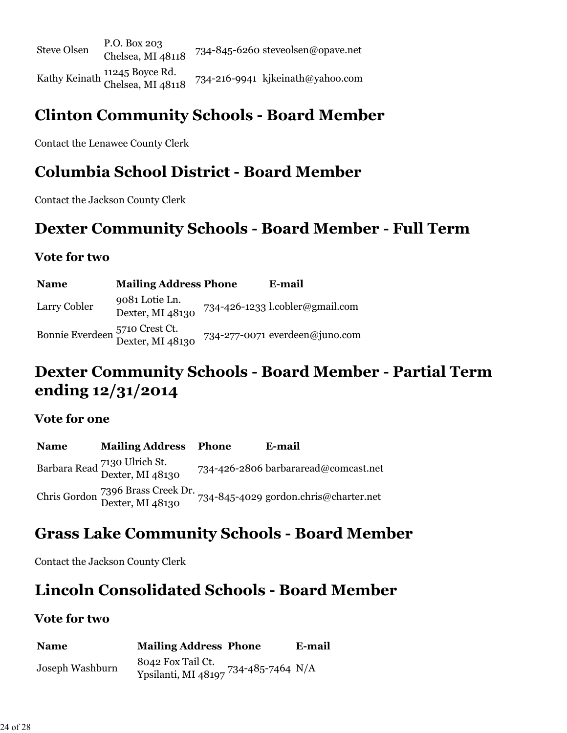Steve Olsen P.O. Box 203<br>Chelsea, MI 48118 734-845-6260 steveolsen@opave.net Kathy Keinath <sup>11245</sup> Boyce Rd.<br>Chelsea, MI 48118  $734 - 216 - 9941$  kjkeinath@yahoo.com

### **Clinton Community Schools - Board Member**

Contact the Lenawee County Clerk

### **Columbia School District - Board Member**

Contact the Jackson County Clerk

### **Dexter Community Schools - Board Member - Full Term**

#### **Vote for two**

| <b>Name</b>  | <b>Mailing Address Phone</b>                       | E-mail                          |
|--------------|----------------------------------------------------|---------------------------------|
| Larry Cobler | 9081 Lotie Ln.<br>Dexter, MI 48130                 | 734-426-1233 l.cobler@gmail.com |
|              | Bonnie Everdeen 5710 Crest Ct.<br>Dexter, MI 48130 | 734-277-0071 everdeen@juno.com  |

## **Dexter Community Schools - Board Member - Partial Term ending 12/31/2014**

#### **Vote for one**

**Name Mailing Address Phone E-mail** Barbara Read 7130 Ulrich St. 734-426-2806 barbararead@comcast.net Chris Gordon 7396 Brass Creek Dr. Dexter, MI 48130 734-845-4029 gordon.chris@charter.net

### **Grass Lake Community Schools - Board Member**

Contact the Jackson County Clerk

### **Lincoln Consolidated Schools - Board Member**

| <b>Name</b>     | <b>Mailing Address Phone</b>                                 | E-mail |
|-----------------|--------------------------------------------------------------|--------|
| Joseph Washburn | 8042 Fox Tail Ct.<br>734-485-7464 N/A<br>Ypsilanti, MI 48197 |        |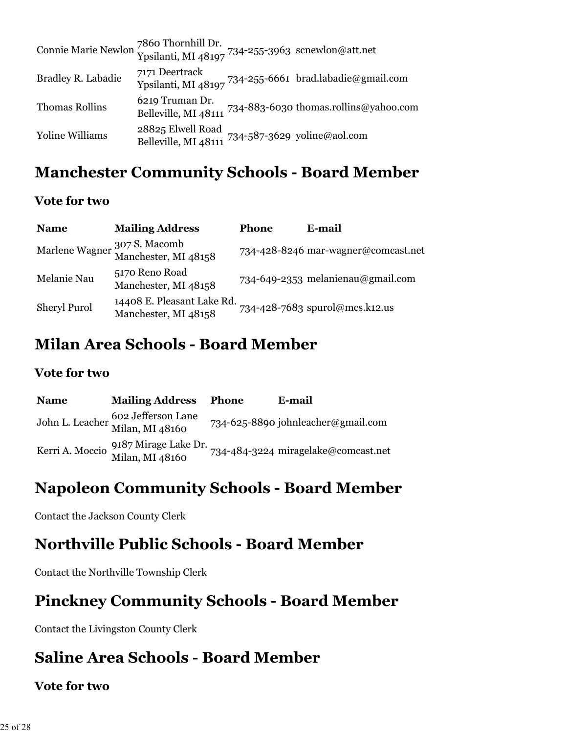| Connie Marie Newlon 7860 Thornhill Dr.<br>Ypsilanti, MI 48197 734-255-3963 scnewlon@att.net |                                                                       |                                                            |
|---------------------------------------------------------------------------------------------|-----------------------------------------------------------------------|------------------------------------------------------------|
| Bradley R. Labadie                                                                          | 7171 Deertrack                                                        | Ypsilanti, MI 48197 734-255-6661 brad.labadie@gmail.com    |
| <b>Thomas Rollins</b>                                                                       | 6219 Truman Dr.                                                       | Belleville, MI 48111 734-883-6030 thomas.rollins@yahoo.com |
| <b>Yoline Williams</b>                                                                      | 28825 Elwell Road<br>Belleville, MI 48111 734-587-3629 yoline@aol.com |                                                            |

## **Manchester Community Schools - Board Member**

### **Vote for two**

| <b>Name</b>         | <b>Mailing Address</b>                               | <b>Phone</b> | E-mail                              |
|---------------------|------------------------------------------------------|--------------|-------------------------------------|
|                     | Marlene Wagner 307 S. Macomb<br>Manchester, MI 48158 |              | 734-428-8246 mar-wagner@comcast.net |
| Melanie Nau         | 5170 Reno Road<br>Manchester, MI 48158               |              | 734-649-2353 melanienau@gmail.com   |
| <b>Sheryl Purol</b> | 14408 E. Pleasant Lake Rd.<br>Manchester, MI 48158   |              | 734-428-7683 spurol@mcs.k12.us      |

### **Milan Area Schools - Board Member**

#### **Vote for two**

| <b>Name</b> | <b>Mailing Address</b>                                  | Phone | E-mail                              |
|-------------|---------------------------------------------------------|-------|-------------------------------------|
|             | John L. Leacher 602 Jefferson Lane<br>Milan, MI 48160   |       | 734-625-8890 johnleacher@gmail.com  |
|             | Kerri A. Moccio 9187 Mirage Lake Dr.<br>Milan, MI 48160 |       | 734-484-3224 miragelake@comcast.net |

### **Napoleon Community Schools - Board Member**

Contact the Jackson County Clerk

### **Northville Public Schools - Board Member**

Contact the Northville Township Clerk

### **Pinckney Community Schools - Board Member**

Contact the Livingston County Clerk

### **Saline Area Schools - Board Member**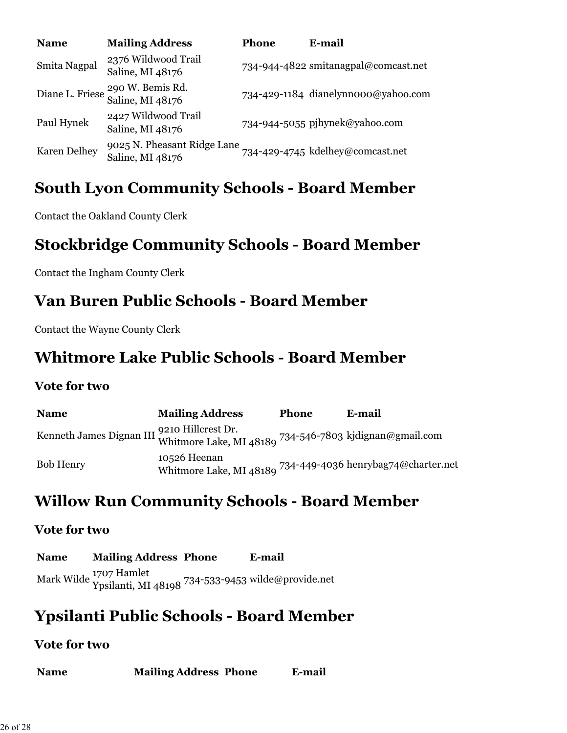| <b>Name</b>         | <b>Mailing Address</b>                                          | <b>Phone</b> | E-mail                               |
|---------------------|-----------------------------------------------------------------|--------------|--------------------------------------|
| Smita Nagpal        | 2376 Wildwood Trail<br>Saline, MI 48176                         |              | 734-944-4822 smitanagpal@comcast.net |
|                     | Diane L. Friese <sup>290</sup> W. Bemis Rd.<br>Saline, MI 48176 |              | 734-429-1184 dianelynnooo@yahoo.com  |
| Paul Hynek          | 2427 Wildwood Trail<br>Saline, MI 48176                         |              | 734-944-5055 pjhynek@yahoo.com       |
| <b>Karen Delhey</b> | 9025 N. Pheasant Ridge Lane<br>Saline, MI 48176                 |              | 734-429-4745 kdelhey@comcast.net     |

### **South Lyon Community Schools - Board Member**

Contact the Oakland County Clerk

### **Stockbridge Community Schools - Board Member**

Contact the Ingham County Clerk

### **Van Buren Public Schools - Board Member**

Contact the Wayne County Clerk

### **Whitmore Lake Public Schools - Board Member**

#### **Vote for two**

| <b>Name</b>                                                                                            | <b>Mailing Address</b>                                                      | <b>Phone</b> | E-mail |
|--------------------------------------------------------------------------------------------------------|-----------------------------------------------------------------------------|--------------|--------|
| Kenneth James Dignan III 9210 Hillcrest Dr.<br>Whitmore Lake, MI 48189 734-546-7803 kjdignan@gmail.com |                                                                             |              |        |
| <b>Bob Henry</b>                                                                                       | 10526 Heenan<br>Whitmore Lake, MI 48189 734-449-4036 henrybag74@charter.net |              |        |

## **Willow Run Community Schools - Board Member**

#### **Vote for two**

**Name Mailing Address Phone E-mail** Mark Wilde 1707 Hamlet Ypsilanti, MI 48198 734-533-9453 wilde@provide.net

## **Ypsilanti Public Schools - Board Member**

| <b>Name</b> | <b>Mailing Address Phone</b> | E-mail |
|-------------|------------------------------|--------|
|-------------|------------------------------|--------|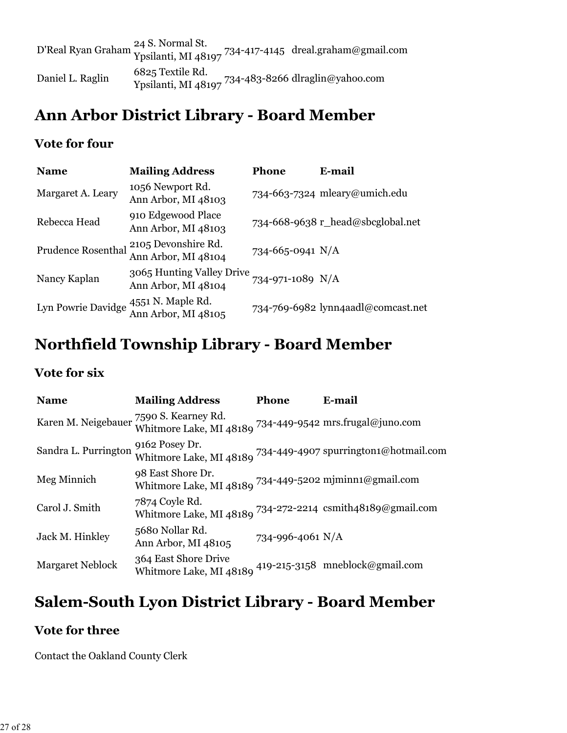|                  | 24 S. Normal St. | D'Real Ryan Graham 24 S. Normai St.<br>Ypsilanti, MI 48197 734-417-4145 dreal.graham@gmail.com |
|------------------|------------------|------------------------------------------------------------------------------------------------|
| Daniel L. Raglin | 6825 Textile Rd. | Ypsilanti, MI 48197 734-483-8266 dlraglin@yahoo.com                                            |

### **Ann Arbor District Library - Board Member**

#### **Vote for four**

| <b>Name</b>        | <b>Mailing Address</b>                           | <b>Phone</b>     | E-mail                             |
|--------------------|--------------------------------------------------|------------------|------------------------------------|
| Margaret A. Leary  | 1056 Newport Rd.<br>Ann Arbor, MI 48103          |                  | 734-663-7324 mleary@umich.edu      |
| Rebecca Head       | 910 Edgewood Place<br>Ann Arbor, MI 48103        |                  | 734-668-9638 r_head@sbcglobal.net  |
| Prudence Rosenthal | 2105 Devonshire Rd.<br>Ann Arbor, MI 48104       | 734-665-0941 N/A |                                    |
| Nancy Kaplan       | 3065 Hunting Valley Drive<br>Ann Arbor, MI 48104 | 734-971-1089 N/A |                                    |
| Lyn Powrie Davidge | 4551 N. Maple Rd.<br>Ann Arbor, MI 48105         |                  | 734-769-6982 lynn4aadl@comcast.net |

# **Northfield Township Library - Board Member**

#### **Vote for six**

| <b>Name</b>                             | <b>Mailing Address</b>                                                            | Phone            | E-mail                                                        |
|-----------------------------------------|-----------------------------------------------------------------------------------|------------------|---------------------------------------------------------------|
| Karen M. Neigebauer 7590 S. Kearney Rd. | Whitmore Lake, MI 48189 $^{734-449-9542}$ mrs.frugal@juno.com                     |                  |                                                               |
| Sandra L. Purrington                    | 9162 Posey Dr.                                                                    |                  | Whitmore Lake, MI 48189 734-449-4907 spurrington1@hotmail.com |
| Meg Minnich                             | 98 East Shore Dr.<br>Whitmore Lake, MI 48189 734-449-5202 mjminn1@gmail.com       |                  |                                                               |
| Carol J. Smith                          | 7874 Coyle Rd.<br>Whitmore Lake, MI 48189 $^{734-272-2214}$ csmith48189@gmail.com |                  |                                                               |
| Jack M. Hinkley                         | 5680 Nollar Rd.<br>Ann Arbor, MI 48105                                            | 734-996-4061 N/A |                                                               |
| <b>Margaret Neblock</b>                 | 364 East Shore Drive<br>Whitmore Lake, MI 48189                                   |                  | 419-215-3158 mneblock@gmail.com                               |

### **Salem-South Lyon District Library - Board Member**

### **Vote for three**

Contact the Oakland County Clerk